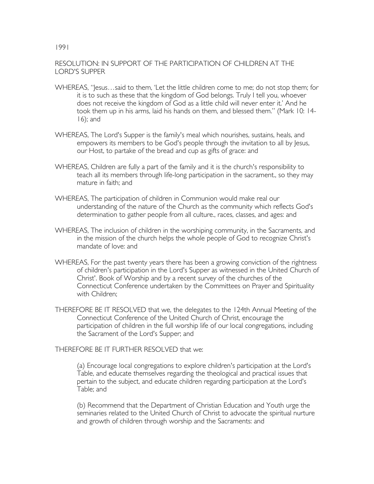## RESOLUTION: IN SUPPORT OF THE PARTICIPATION OF CHILDREN AT THE LORD'S SUPPER

1991

- WHEREAS, "Jesus…said to them, 'Let the little children come to me; do not stop them; for it is to such as these that the kingdom of God belongs. Truly I tell you, whoever does not receive the kingdom of God as a little child will never enter it.' And he took them up in his arms, laid his hands on them, and blessed them." (Mark 10: 14- 16); and
- WHEREAS, The Lord's Supper is the family's meal which nourishes, sustains, heals, and empowers its members to be God's people through the invitation to all by Jesus, our Host, to partake of the bread and cup as gifts of grace: and
- WHEREAS, Children are fully a part of the family and it is the church's responsibility to teach all its members through life-long participation in the sacrament., so they may mature in faith; and
- WHEREAS, The participation of children in Communion would make real our understanding of the nature of the Church as the community which reflects God's determination to gather people from all culture., races, classes, and ages: and
- WHEREAS, The inclusion of children in the worshiping community, in the Sacraments, and in the mission of the church helps the whole people of God to recognize Christ's mandate of love: and
- WHEREAS, For the past twenty years there has been a growing conviction of the rightness of children's participation in the Lord's Supper as witnessed in the United Church of Christ'. Book of Worship and by a recent survey of the churches of the Connecticut Conference undertaken by the Committees on Prayer and Spirituality with Children;
- THEREFORE BE IT RESOLVED that we, the delegates to the 124th Annual Meeting of the Connecticut Conference of the United Church of Christ, encourage the participation of children in the full worship life of our local congregations, including the Sacrament of the Lord's Supper; and

THEREFORE BE IT FURTHER RESOLVED that we:

(a) Encourage local congregations to explore children's participation at the Lord's Table, and educate themselves regarding the theological and practical issues that pertain to the subject, and educate children regarding participation at the Lord's Table; and

(b) Recommend that the Department of Christian Education and Youth urge the seminaries related to the United Church of Christ to advocate the spiritual nurture and growth of children through worship and the Sacraments: and